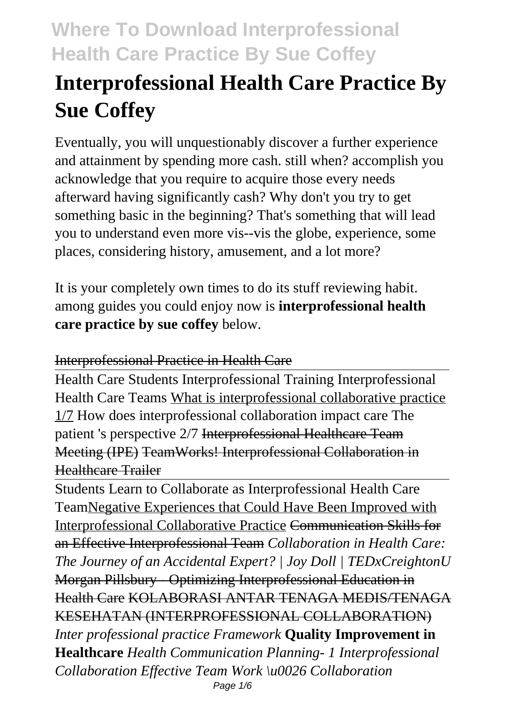# **Interprofessional Health Care Practice By Sue Coffey**

Eventually, you will unquestionably discover a further experience and attainment by spending more cash. still when? accomplish you acknowledge that you require to acquire those every needs afterward having significantly cash? Why don't you try to get something basic in the beginning? That's something that will lead you to understand even more vis--vis the globe, experience, some places, considering history, amusement, and a lot more?

It is your completely own times to do its stuff reviewing habit. among guides you could enjoy now is **interprofessional health care practice by sue coffey** below.

### Interprofessional Practice in Health Care

Health Care Students Interprofessional Training Interprofessional Health Care Teams What is interprofessional collaborative practice 1/7 How does interprofessional collaboration impact care The patient 's perspective 2/7 Interprofessional Healthcare Team Meeting (IPE) TeamWorks! Interprofessional Collaboration in Healthcare Trailer

Students Learn to Collaborate as Interprofessional Health Care TeamNegative Experiences that Could Have Been Improved with Interprofessional Collaborative Practice Communication Skills for an Effective Interprofessional Team *Collaboration in Health Care: The Journey of an Accidental Expert? | Joy Doll | TEDxCreightonU* Morgan Pillsbury - Optimizing Interprofessional Education in Health Care KOLABORASI ANTAR TENAGA MEDIS/TENAGA KESEHATAN (INTERPROFESSIONAL COLLABORATION) *Inter professional practice Framework* **Quality Improvement in Healthcare** *Health Communication Planning- 1 Interprofessional Collaboration Effective Team Work \u0026 Collaboration* Page 1/6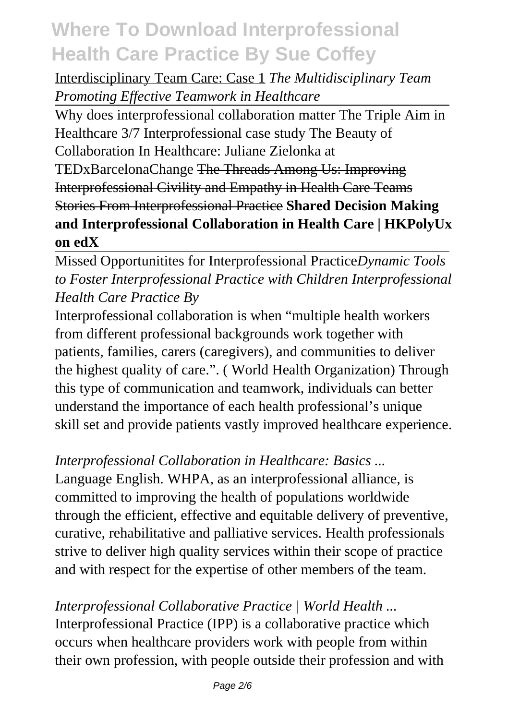### Interdisciplinary Team Care: Case 1 *The Multidisciplinary Team Promoting Effective Teamwork in Healthcare*

Why does interprofessional collaboration matter The Triple Aim in Healthcare 3/7 Interprofessional case study The Beauty of Collaboration In Healthcare: Juliane Zielonka at TEDxBarcelonaChange The Threads Among Us: Improving Interprofessional Civility and Empathy in Health Care Teams Stories From Interprofessional Practice **Shared Decision Making and Interprofessional Collaboration in Health Care | HKPolyUx on edX**

### Missed Opportunitites for Interprofessional Practice*Dynamic Tools to Foster Interprofessional Practice with Children Interprofessional Health Care Practice By*

Interprofessional collaboration is when "multiple health workers from different professional backgrounds work together with patients, families, carers (caregivers), and communities to deliver the highest quality of care.". ( World Health Organization) Through this type of communication and teamwork, individuals can better understand the importance of each health professional's unique skill set and provide patients vastly improved healthcare experience.

#### *Interprofessional Collaboration in Healthcare: Basics ...*

Language English. WHPA, as an interprofessional alliance, is committed to improving the health of populations worldwide through the efficient, effective and equitable delivery of preventive, curative, rehabilitative and palliative services. Health professionals strive to deliver high quality services within their scope of practice and with respect for the expertise of other members of the team.

### *Interprofessional Collaborative Practice | World Health ...* Interprofessional Practice (IPP) is a collaborative practice which occurs when healthcare providers work with people from within their own profession, with people outside their profession and with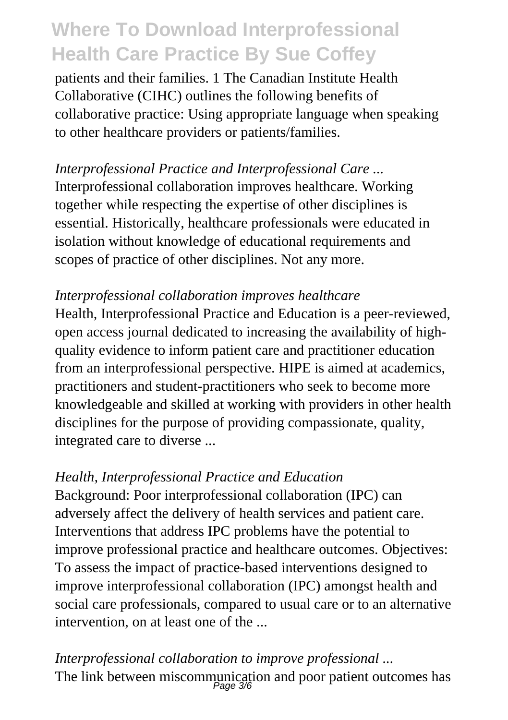patients and their families. 1 The Canadian Institute Health Collaborative (CIHC) outlines the following benefits of collaborative practice: Using appropriate language when speaking to other healthcare providers or patients/families.

*Interprofessional Practice and Interprofessional Care ...* Interprofessional collaboration improves healthcare. Working together while respecting the expertise of other disciplines is essential. Historically, healthcare professionals were educated in isolation without knowledge of educational requirements and scopes of practice of other disciplines. Not any more.

#### *Interprofessional collaboration improves healthcare*

Health, Interprofessional Practice and Education is a peer-reviewed, open access journal dedicated to increasing the availability of highquality evidence to inform patient care and practitioner education from an interprofessional perspective. HIPE is aimed at academics, practitioners and student-practitioners who seek to become more knowledgeable and skilled at working with providers in other health disciplines for the purpose of providing compassionate, quality, integrated care to diverse ...

#### *Health, Interprofessional Practice and Education*

Background: Poor interprofessional collaboration (IPC) can adversely affect the delivery of health services and patient care. Interventions that address IPC problems have the potential to improve professional practice and healthcare outcomes. Objectives: To assess the impact of practice-based interventions designed to improve interprofessional collaboration (IPC) amongst health and social care professionals, compared to usual care or to an alternative intervention, on at least one of the ...

*Interprofessional collaboration to improve professional ...* The link between miscommunication and poor patient outcomes has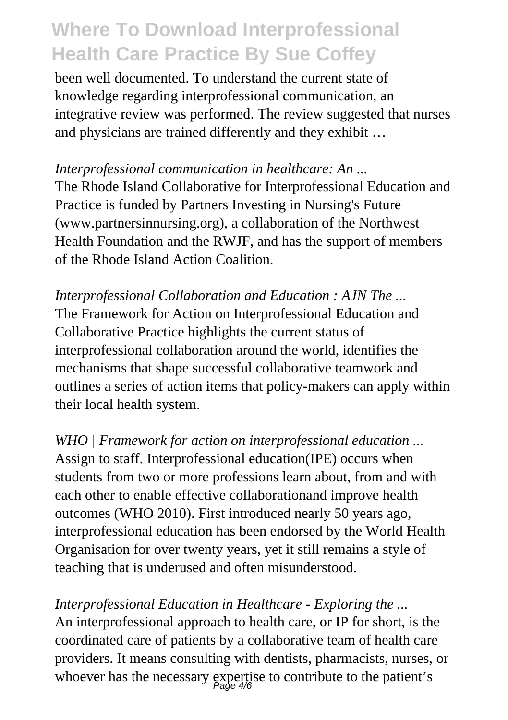been well documented. To understand the current state of knowledge regarding interprofessional communication, an integrative review was performed. The review suggested that nurses and physicians are trained differently and they exhibit …

#### *Interprofessional communication in healthcare: An ...*

The Rhode Island Collaborative for Interprofessional Education and Practice is funded by Partners Investing in Nursing's Future (www.partnersinnursing.org), a collaboration of the Northwest Health Foundation and the RWJF, and has the support of members of the Rhode Island Action Coalition.

*Interprofessional Collaboration and Education : AJN The ...* The Framework for Action on Interprofessional Education and Collaborative Practice highlights the current status of interprofessional collaboration around the world, identifies the mechanisms that shape successful collaborative teamwork and outlines a series of action items that policy-makers can apply within their local health system.

*WHO | Framework for action on interprofessional education ...* Assign to staff. Interprofessional education(IPE) occurs when students from two or more professions learn about, from and with each other to enable effective collaborationand improve health outcomes (WHO 2010). First introduced nearly 50 years ago, interprofessional education has been endorsed by the World Health Organisation for over twenty years, yet it still remains a style of teaching that is underused and often misunderstood.

*Interprofessional Education in Healthcare - Exploring the ...* An interprofessional approach to health care, or IP for short, is the coordinated care of patients by a collaborative team of health care providers. It means consulting with dentists, pharmacists, nurses, or whoever has the necessary expertise to contribute to the patient's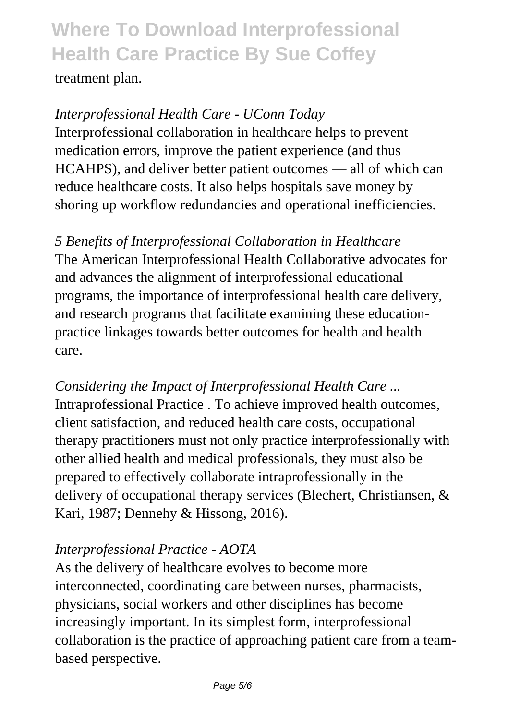treatment plan.

*Interprofessional Health Care - UConn Today* Interprofessional collaboration in healthcare helps to prevent medication errors, improve the patient experience (and thus HCAHPS), and deliver better patient outcomes — all of which can reduce healthcare costs. It also helps hospitals save money by shoring up workflow redundancies and operational inefficiencies.

*5 Benefits of Interprofessional Collaboration in Healthcare* The American Interprofessional Health Collaborative advocates for and advances the alignment of interprofessional educational programs, the importance of interprofessional health care delivery, and research programs that facilitate examining these educationpractice linkages towards better outcomes for health and health care.

*Considering the Impact of Interprofessional Health Care ...* Intraprofessional Practice . To achieve improved health outcomes, client satisfaction, and reduced health care costs, occupational therapy practitioners must not only practice interprofessionally with other allied health and medical professionals, they must also be prepared to effectively collaborate intraprofessionally in the delivery of occupational therapy services (Blechert, Christiansen, & Kari, 1987; Dennehy & Hissong, 2016).

### *Interprofessional Practice - AOTA*

As the delivery of healthcare evolves to become more interconnected, coordinating care between nurses, pharmacists, physicians, social workers and other disciplines has become increasingly important. In its simplest form, interprofessional collaboration is the practice of approaching patient care from a teambased perspective.